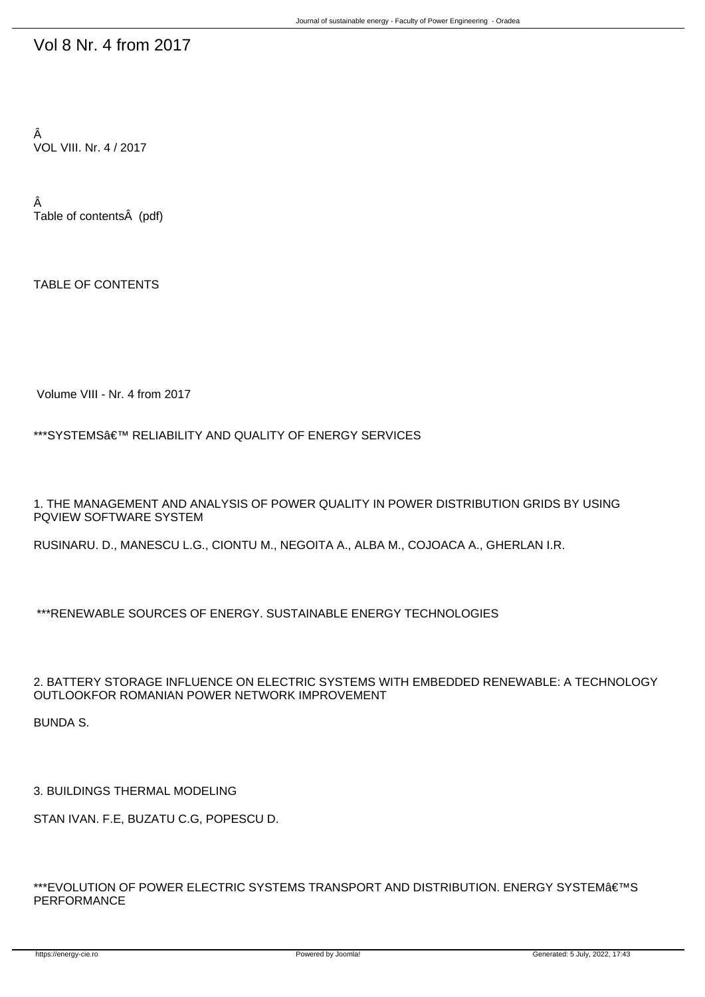## Vol 8 Nr. 4 from 2017

Â VOL VIII. Nr. 4 / 2017

Â Table of contents (pdf)

TABLE OF CONTENTS

Volume VIII - Nr. 4 from 2017

\*\*\*SYSTEMS' RELIABILITY AND QUALITY OF ENERGY SERVICES

1. THE MANAGEMENT AND ANALYSIS OF POWER QUALITY IN POWER DISTRIBUTION GRIDS BY USING PQVIEW SOFTWARE SYSTEM

RUSINARU. D., MANESCU L.G., CIONTU M., NEGOITA A., ALBA M., COJOACA A., GHERLAN I.R.

\*\*\*RENEWABLE SOURCES OF ENERGY. SUSTAINABLE ENERGY TECHNOLOGIES

2. BATTERY STORAGE INFLUENCE ON ELECTRIC SYSTEMS WITH EMBEDDED RENEWABLE: A TECHNOLOGY OUTLOOKFOR ROMANIAN POWER NETWORK IMPROVEMENT

BUNDA S.

3. BUILDINGS THERMAL MODELING

STAN IVAN. F.E, BUZATU C.G, POPESCU D.

\*\*\*EVOLUTION OF POWER ELECTRIC SYSTEMS TRANSPORT AND DISTRIBUTION. ENERGY SYSTEM€<sup>TM</sup>S PERFORMANCE